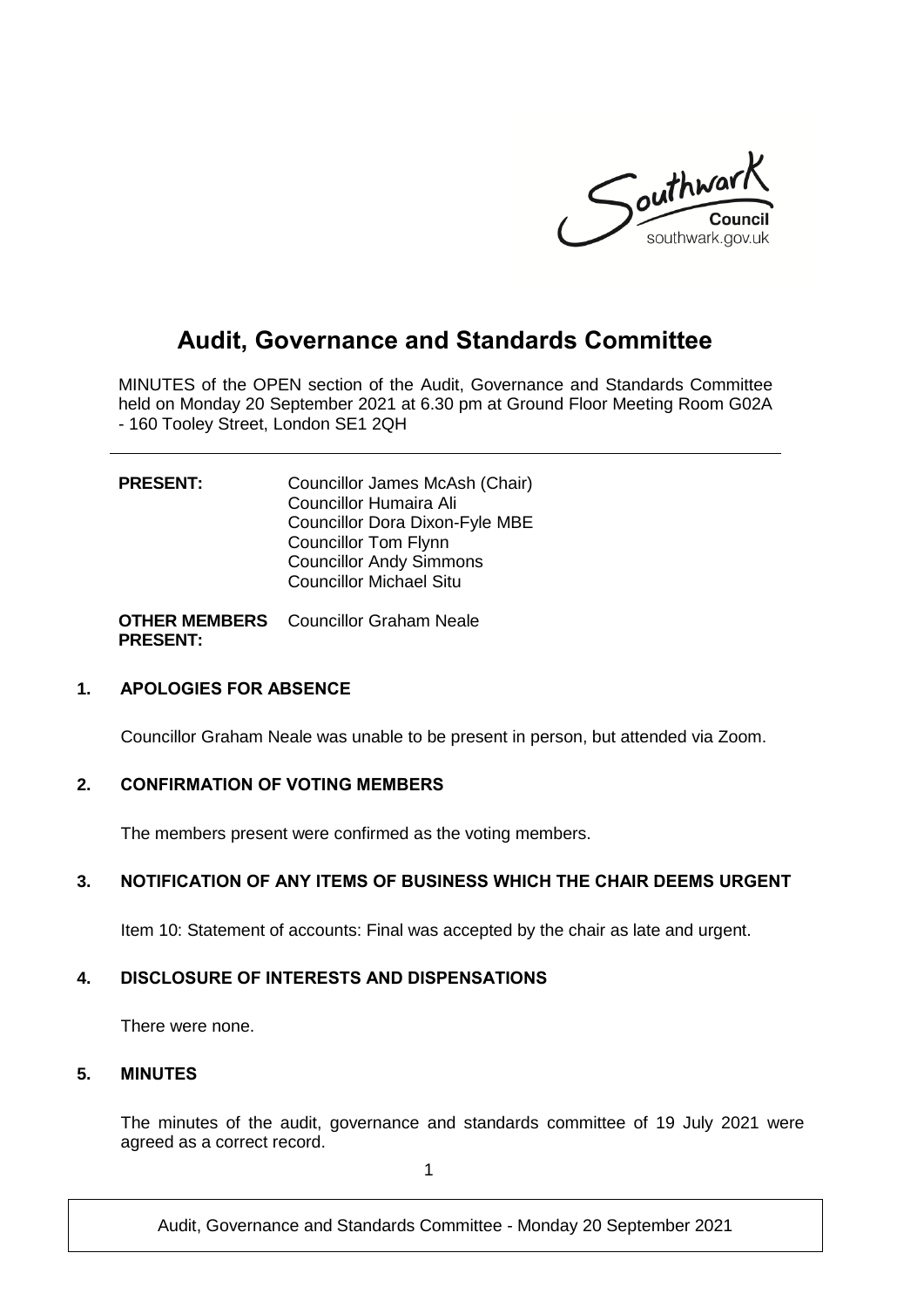

# **Audit, Governance and Standards Committee**

MINUTES of the OPEN section of the Audit, Governance and Standards Committee held on Monday 20 September 2021 at 6.30 pm at Ground Floor Meeting Room G02A - 160 Tooley Street, London SE1 2QH

| <b>PRESENT:</b> | Councillor James McAsh (Chair)<br>Councillor Humaira Ali |
|-----------------|----------------------------------------------------------|
|                 | <b>Councillor Dora Dixon-Fyle MBE</b>                    |
|                 | <b>Councillor Tom Flynn</b>                              |
|                 | <b>Councillor Andy Simmons</b>                           |
|                 | <b>Councillor Michael Situ</b>                           |
|                 |                                                          |

**OTHER MEMBERS**  Councillor Graham Neale **PRESENT:**

#### **1. APOLOGIES FOR ABSENCE**

Councillor Graham Neale was unable to be present in person, but attended via Zoom.

#### **2. CONFIRMATION OF VOTING MEMBERS**

The members present were confirmed as the voting members.

#### **3. NOTIFICATION OF ANY ITEMS OF BUSINESS WHICH THE CHAIR DEEMS URGENT**

Item 10: Statement of accounts: Final was accepted by the chair as late and urgent.

#### **4. DISCLOSURE OF INTERESTS AND DISPENSATIONS**

There were none.

#### **5. MINUTES**

The minutes of the audit, governance and standards committee of 19 July 2021 were agreed as a correct record.

1

Audit, Governance and Standards Committee - Monday 20 September 2021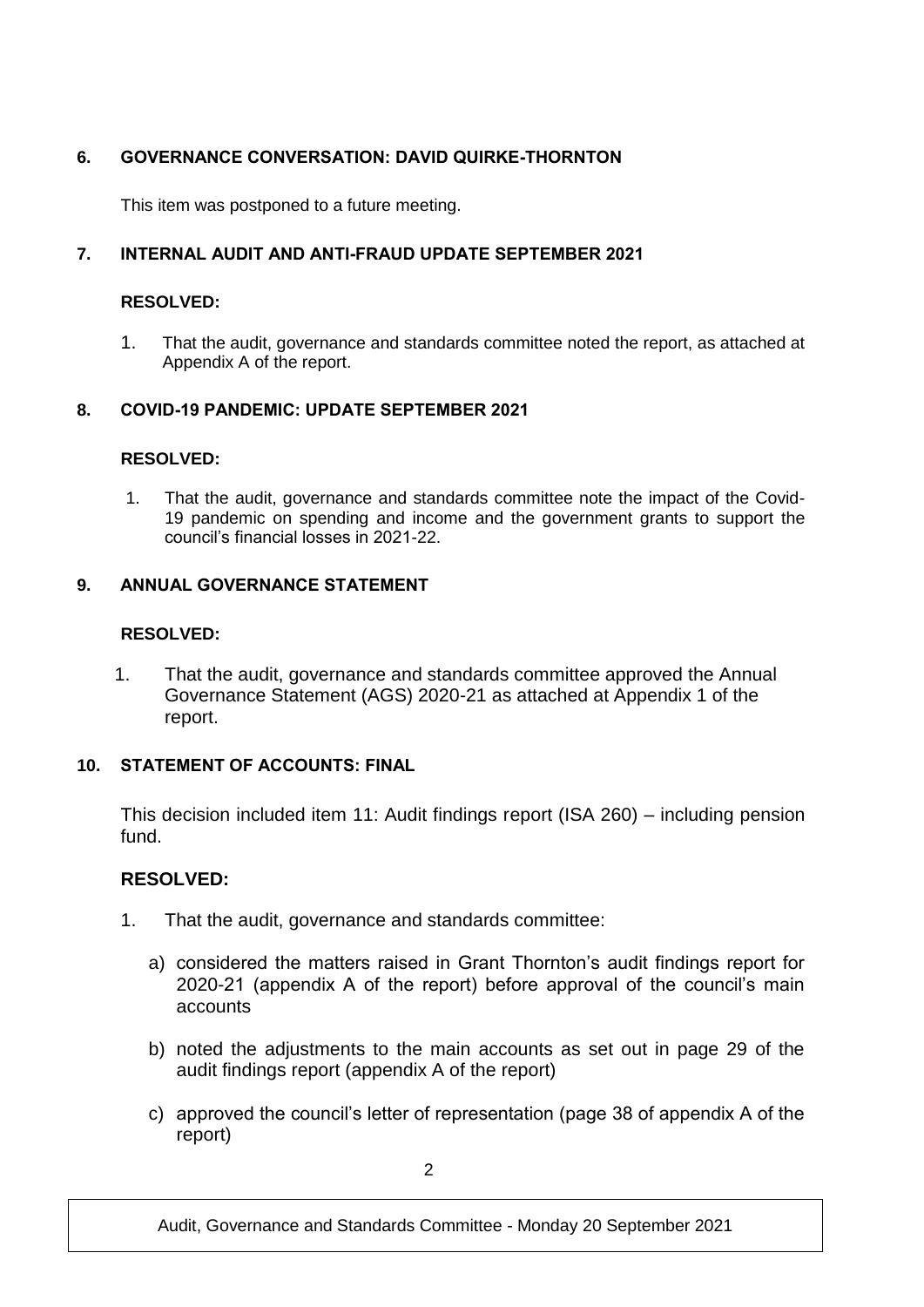## **6. GOVERNANCE CONVERSATION: DAVID QUIRKE-THORNTON**

This item was postponed to a future meeting.

## **7. INTERNAL AUDIT AND ANTI-FRAUD UPDATE SEPTEMBER 2021**

#### **RESOLVED:**

1. That the audit, governance and standards committee noted the report, as attached at Appendix A of the report.

## **8. COVID-19 PANDEMIC: UPDATE SEPTEMBER 2021**

## **RESOLVED:**

1. That the audit, governance and standards committee note the impact of the Covid-19 pandemic on spending and income and the government grants to support the council's financial losses in 2021-22.

## **9. ANNUAL GOVERNANCE STATEMENT**

#### **RESOLVED:**

1. That the audit, governance and standards committee approved the Annual Governance Statement (AGS) 2020-21 as attached at Appendix 1 of the report.

## **10. STATEMENT OF ACCOUNTS: FINAL**

This decision included item 11: Audit findings report (ISA 260) – including pension fund.

## **RESOLVED:**

- 1. That the audit, governance and standards committee:
	- a) considered the matters raised in Grant Thornton's audit findings report for 2020-21 (appendix A of the report) before approval of the council's main accounts
	- b) noted the adjustments to the main accounts as set out in page 29 of the audit findings report (appendix A of the report)
	- c) approved the council's letter of representation (page 38 of appendix A of the report)

Audit, Governance and Standards Committee - Monday 20 September 2021